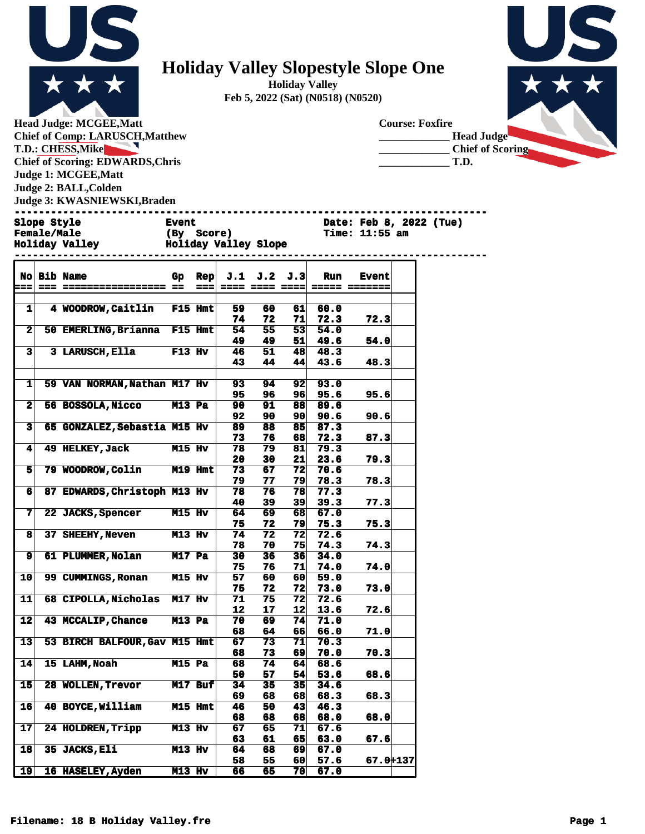

## **Holiday Valley Slopestyle Slope One**

**Holiday Valley Feb 5, 2022 (Sat) (N0518) (N0520)**

**Head Judge: MCGEE,Matt Chief of Comp: LARUSCH,Matthew T.D.: CHESS,Mike**  $\blacktriangleright$ **Chief of Scoring: EDWARDS,Chris Judge 1: MCGEE,Matt Judge 2: BALL,Colden Judge 3: KWASNIEWSKI,Braden** 



**Female/Male (By Score)** Time: 11:55 am<br> **Holiday Valley** Holiday Valley Slope

**Holiday Valley Holiday Valley Slope** 

|                 | No Bib Name                          | Gp                  | Rep  |          | J.1 J.2  | J.3                   | Run          | <b>Event</b>                 |  |
|-----------------|--------------------------------------|---------------------|------|----------|----------|-----------------------|--------------|------------------------------|--|
| $=$             |                                      |                     | $==$ |          |          |                       |              | ==== ==== ==== ===== ======= |  |
|                 |                                      |                     |      |          |          |                       |              |                              |  |
| $1\vert$        | 4 WOODROW, Caitlin F15 Hmt           |                     |      | 59       | 60       | 61                    | 60.0         |                              |  |
|                 |                                      |                     |      | 74       | 72       | 71                    | 72.3         | 72.3                         |  |
| $\mathbf{2}$    | 50 EMERLING, Brianna F15 Hmt         |                     |      | 54       | 55       | 53                    | 54.0         |                              |  |
| 3               | 3 LARUSCH, Ella F13 Hv               |                     |      | 49<br>46 | 49<br>51 | 51<br>48              | 49.6<br>48.3 | 54.0                         |  |
|                 |                                      |                     |      | 43       | 44       | 44                    | 43.6         | 48.3                         |  |
|                 |                                      |                     |      |          |          |                       |              |                              |  |
| 1               | 59 VAN NORMAN, Nathan M17 Hv         |                     |      | 93       | 94       | 92 <sub>1</sub>       | 93.0         |                              |  |
|                 |                                      |                     |      | 95       | 96       | 96                    | 95.6         | 95.6                         |  |
| $\overline{2}$  | 56 BOSSOLA, Nicco M13 Pa             |                     |      | 90       | 91       | 88                    | 89.6         |                              |  |
|                 |                                      |                     |      | 92       | 90       | 90                    | 90.6         | 90.6                         |  |
| 3               | 65 GONZALEZ, Sebastia M15 Hv         |                     |      | 89       | 88       | 85                    | 87.3         |                              |  |
|                 |                                      |                     |      | 73       | 76       | 68                    | 72.3         | 87.3                         |  |
| $\mathbf{4}$    | 49 HELKEY, Jack M15 Hv               |                     |      | 78       | 79       | 81                    | 79.3         |                              |  |
| 5               | 79 WOODROW, Colin M19 Hmt            |                     |      | 20<br>73 | 30<br>67 | 21 <sup>1</sup><br>72 | 23.6<br>70.6 | 79.3                         |  |
|                 |                                      |                     |      | 79       | 77       | 79                    | 78.3         | 78.3                         |  |
| 6               | 87 EDWARDS, Christoph M13 Hv         |                     |      | 78       | 76       | 78                    | 77.3         |                              |  |
|                 |                                      |                     |      | 40       | 39       | 39 <sub>1</sub>       | 39.3         | 77.3                         |  |
| 7               | 22 JACKS, Spencer M15 Hv             |                     |      | 64       | 69       | 68                    | 67.0         |                              |  |
|                 |                                      |                     |      | 75       | 72       | 79                    | 75.3         | 75.3                         |  |
| 8               | 37 SHEEHY, Neven M13 Hv              |                     |      | 74       | 72       | 72                    | 72.6         |                              |  |
|                 |                                      |                     |      | 78       | 70       | 751                   | 74.3         | 74.3                         |  |
| 9               | 61 PLUMMER, Nolan M17 Pa             |                     |      | 30       | 36       | 36                    | 34.0         |                              |  |
|                 | 99 CUMMINGS, Ronan M15 Hv            |                     |      | 75       | 76       | 71                    | 74.0         | 74.0                         |  |
| 10              |                                      |                     |      | 57<br>75 | 60<br>72 | 60<br>72              | 59.0<br>73.0 | 73.0                         |  |
| 11              | 68 CIPOLLA, Nicholas M17 Hv          |                     |      | 71       | 75       | 72                    | 72.6         |                              |  |
|                 |                                      |                     |      | 12       | 17       | 12                    | 13.6         | 72.6                         |  |
| 12              | <b>43 MCCALIP, Chance</b>            | $M13$ Pa            |      | 70       | 69.      | 74                    | 71.0         |                              |  |
|                 |                                      |                     |      | 68       | 64       | 66                    | 66.0         | 71.0                         |  |
| $\overline{13}$ | 53 BIRCH BALFOUR, Gav M15 Hmt        |                     |      | 67       | 73       | 71                    | 70.3         |                              |  |
|                 |                                      |                     |      | 68       | 73       | 69                    | 70.0         | 70.3                         |  |
| 14              | <b>15 LAHM,Noah</b><br><b>M15 Pa</b> |                     |      | 68       | 74       | 64                    | 68.6         |                              |  |
|                 |                                      |                     |      | 50       | 57       | 54                    | 53.6         | 68.6                         |  |
| 15 <sub>1</sub> | 28 WOLLEN, Trevor M17 Buf            |                     |      | 34<br>69 | 35<br>68 | 35 <sub>1</sub><br>68 | 34.6<br>68.3 | 68.3                         |  |
| 16 <sup>1</sup> | 40 BOYCE, William M15 Hmt            |                     |      | 46       | 50       | 43 <sub>1</sub>       | 46.3         |                              |  |
|                 |                                      |                     |      | 68       | 68       | 68                    | 68.0         | 68.0                         |  |
| $\overline{17}$ | 24 HOLDREN, Tripp M13 Hv             |                     |      | 67       | 65       | 71                    | 67.6         |                              |  |
|                 |                                      |                     |      | 63       | 61       | 65                    | 63.0         | 67.6                         |  |
| $\overline{18}$ | 35 JACKS, Eli                        | $\overline{M13}$ Hv |      | 64       | 68       | 69                    | 67.0         |                              |  |
|                 |                                      |                     |      | 58       | 55       | 60                    | 57.6         | 67.0+137                     |  |
| 19              | <b>16 HASELEY, Ayden</b>             | <b>M13 Hv</b>       |      | 66       | 65       | 70                    | 67.0         |                              |  |

**------------------------------------------------------------------------------ Event Date: Feb 8, 2022 (Tue)**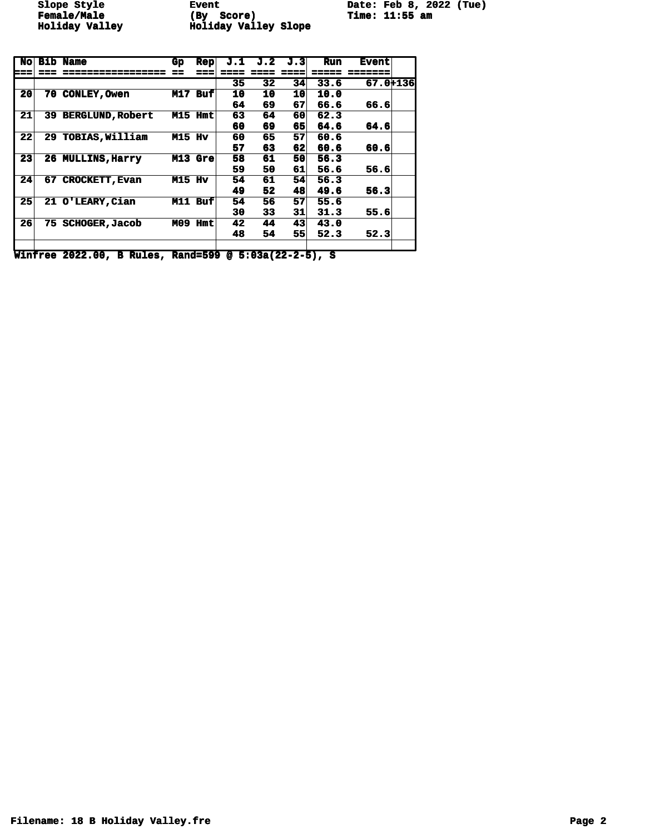**Female/Male (By Score) Time: 11:55 am Holiday Valley Holiday Valley Slope** 

**Slope Style Event Date: Feb 8, 2022 (Tue)**

| <b>No</b>       | <b>Bib</b> | Name                    | Gp            | <b>Rep</b> | J.1 | J.2 | J.31 | Run   | <b>Event</b> |  |
|-----------------|------------|-------------------------|---------------|------------|-----|-----|------|-------|--------------|--|
| ===             |            | ===========             |               | ===        |     |     | ===  | ===== | =======      |  |
|                 |            |                         |               |            | 35  | 32  | 34   | 33.6  | 67.0+136     |  |
| 20 <sub>l</sub> | 70         | <b>CONLEY, Owen</b>     |               | M17 Buf    | 10  | 10  | 10   | 10.0  |              |  |
|                 |            |                         |               |            | 64  | 69  | 67   | 66.6  | 66.6         |  |
| 21              | 39         | <b>BERGLUND, Robert</b> |               | M15 Hmt    | 63  | 64  | 60   | 62.3  |              |  |
|                 |            |                         |               |            | 60  | 69  | 65   | 64.6  | 64.6         |  |
| 22              |            | 29 TOBIAS, William      | <b>M15 Hv</b> |            | 60  | 65  | 57   | 60.6  |              |  |
|                 |            |                         |               |            | 57  | 63  | 62   | 60.6  | 60.6         |  |
| 23              |            | 26 MULLINS, Harry       |               | $M13$ Gre  | 58  | 61  | 50   | 56.3  |              |  |
|                 |            |                         |               |            | 59  | 50  | 61   | 56.6  | 56.6         |  |
| 24              | 67         | <b>CROCKETT, Evan</b>   | M15 Hv        |            | 54  | 61  | 54   | 56.3  |              |  |
|                 |            |                         |               |            | 49  | 52  | 48   | 49.6  | 56.3         |  |
| 25 <sub>1</sub> |            | 21 O'LEARY, Cian        |               | $M11$ Buf  | 54  | 56  | 57   | 55.6  |              |  |
|                 |            |                         |               |            | 30  | 33  | 31   | 31.3  | 55.6         |  |
| 26              | 75         | <b>SCHOGER, Jacob</b>   | M09           | <b>Hmt</b> | 42  | 44  | 43   | 43.0  |              |  |
|                 |            |                         |               |            | 48  | 54  | 55   | 52.3  | 52.3         |  |
|                 |            |                         |               |            |     |     |      |       |              |  |

**Winfree 2022.00, B Rules, Rand=599 @ 5:03a(22-2-5), S**